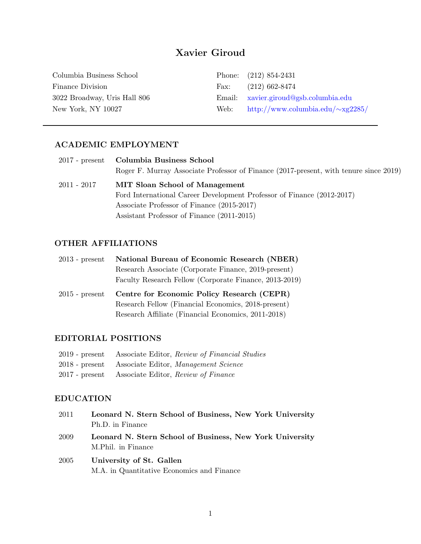# Xavier Giroud

| Columbia Business School     |      | Phone: $(212) 854-2431$                 |
|------------------------------|------|-----------------------------------------|
| Finance Division             | Fax: | $(212)$ 662-8474                        |
| 3022 Broadway, Uris Hall 806 |      | Email: xavier.giroud@gsb.columbia.edu   |
| New York, NY 10027           | Web: | http://www.columbia.edu/ $\sim$ xg2285/ |
|                              |      |                                         |

## ACADEMIC EMPLOYMENT

|             | 2017 - present Columbia Business School                                               |
|-------------|---------------------------------------------------------------------------------------|
|             | Roger F. Murray Associate Professor of Finance (2017-present, with tenure since 2019) |
| 2011 - 2017 | <b>MIT Sloan School of Management</b>                                                 |
|             | Ford International Career Development Professor of Finance (2012-2017)                |
|             | Associate Professor of Finance (2015-2017)                                            |
|             | Assistant Professor of Finance (2011-2015)                                            |

## OTHER AFFILIATIONS

| $2013$ - present | National Bureau of Economic Research (NBER)            |
|------------------|--------------------------------------------------------|
|                  | Research Associate (Corporate Finance, 2019-present)   |
|                  | Faculty Research Fellow (Corporate Finance, 2013-2019) |
|                  |                                                        |
| $2015$ - present | Centre for Economic Policy Research (CEPR)             |
|                  | Research Fellow (Financial Economics, 2018-present)    |

## EDITORIAL POSITIONS

| 2019 - present Associate Editor, Review of Financial Studies |
|--------------------------------------------------------------|
| 2018 - present Associate Editor, Management Science          |
| 2017 - present Associate Editor, Review of Finance           |

## EDUCATION

| 2011 | Leonard N. Stern School of Business, New York University                       |
|------|--------------------------------------------------------------------------------|
|      | Ph.D. in Finance                                                               |
| 2009 | Leonard N. Stern School of Business, New York University<br>M.Phil. in Finance |
| 2005 | University of St. Gallen<br>M.A. in Quantitative Economics and Finance         |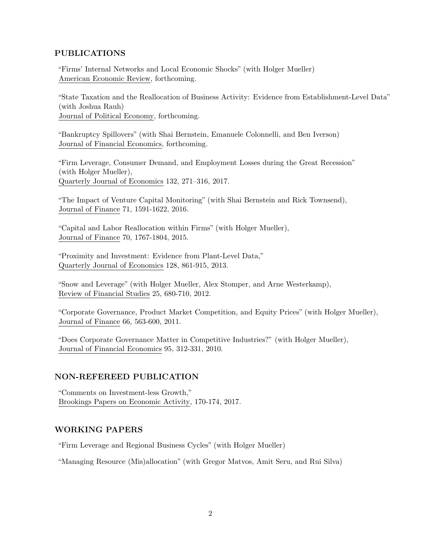## PUBLICATIONS

"Firms' Internal Networks and Local Economic Shocks" (with Holger Mueller) American Economic Review, forthcoming.

"State Taxation and the Reallocation of Business Activity: Evidence from Establishment-Level Data" (with Joshua Rauh) Journal of Political Economy, forthcoming.

"Bankruptcy Spillovers" (with Shai Bernstein, Emanuele Colonnelli, and Ben Iverson) Journal of Financial Economics, forthcoming.

"Firm Leverage, Consumer Demand, and Employment Losses during the Great Recession" (with Holger Mueller), Quarterly Journal of Economics 132, 271–316, 2017.

"The Impact of Venture Capital Monitoring" (with Shai Bernstein and Rick Townsend), Journal of Finance 71, 1591-1622, 2016.

"Capital and Labor Reallocation within Firms" (with Holger Mueller), Journal of Finance 70, 1767-1804, 2015.

"Proximity and Investment: Evidence from Plant-Level Data," Quarterly Journal of Economics 128, 861-915, 2013.

"Snow and Leverage" (with Holger Mueller, Alex Stomper, and Arne Westerkamp), Review of Financial Studies 25, 680-710, 2012.

"Corporate Governance, Product Market Competition, and Equity Prices" (with Holger Mueller), Journal of Finance 66, 563-600, 2011.

"Does Corporate Governance Matter in Competitive Industries?" (with Holger Mueller), Journal of Financial Economics 95, 312-331, 2010.

### NON-REFEREED PUBLICATION

"Comments on Investment-less Growth," Brookings Papers on Economic Activity, 170-174, 2017.

### WORKING PAPERS

"Firm Leverage and Regional Business Cycles" (with Holger Mueller)

"Managing Resource (Mis)allocation" (with Gregor Matvos, Amit Seru, and Rui Silva)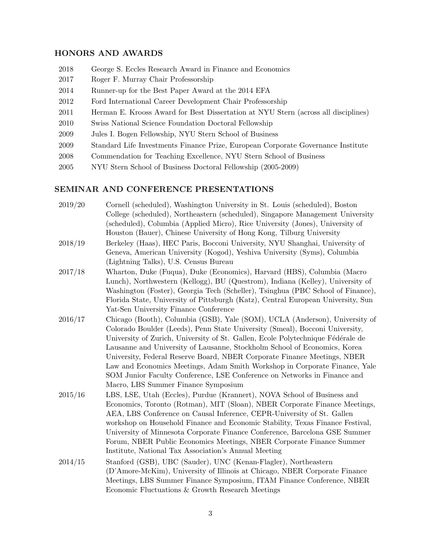#### HONORS AND AWARDS

- 2018 George S. Eccles Research Award in Finance and Economics
- 2017 Roger F. Murray Chair Professorship
- 2014 Runner-up for the Best Paper Award at the 2014 EFA
- 2012 Ford International Career Development Chair Professorship
- 2011 Herman E. Krooss Award for Best Dissertation at NYU Stern (across all disciplines)
- 2010 Swiss National Science Foundation Doctoral Fellowship
- 2009 Jules I. Bogen Fellowship, NYU Stern School of Business
- 2009 Standard Life Investments Finance Prize, European Corporate Governance Institute
- 2008 Commendation for Teaching Excellence, NYU Stern School of Business
- 2005 NYU Stern School of Business Doctoral Fellowship (2005-2009)

#### SEMINAR AND CONFERENCE PRESENTATIONS

| 2019/20 | Cornell (scheduled), Washington University in St. Louis (scheduled), Boston      |
|---------|----------------------------------------------------------------------------------|
|         | College (scheduled), Northeastern (scheduled), Singapore Management University   |
|         | (scheduled), Columbia (Applied Micro), Rice University (Jones), University of    |
|         | Houston (Bauer), Chinese University of Hong Kong, Tilburg University             |
| 2018/19 | Berkeley (Haas), HEC Paris, Bocconi University, NYU Shanghai, University of      |
|         | Geneva, American University (Kogod), Yeshiva University (Syms), Columbia         |
|         | (Lightning Talks), U.S. Census Bureau                                            |
| 2017/18 | Wharton, Duke (Fuqua), Duke (Economics), Harvard (HBS), Columbia (Macro          |
|         | Lunch), Northwestern (Kellogg), BU (Questrom), Indiana (Kelley), University of   |
|         | Washington (Foster), Georgia Tech (Scheller), Tsinghua (PBC School of Finance),  |
|         | Florida State, University of Pittsburgh (Katz), Central European University, Sun |
|         | Yat-Sen University Finance Conference                                            |
| 2016/17 | Chicago (Booth), Columbia (GSB), Yale (SOM), UCLA (Anderson), University of      |
|         | Colorado Boulder (Leeds), Penn State University (Smeal), Bocconi University,     |
|         | University of Zurich, University of St. Gallen, Ecole Polytechnique Fédérale de  |
|         | Lausanne and University of Lausanne, Stockholm School of Economics, Korea        |
|         | University, Federal Reserve Board, NBER Corporate Finance Meetings, NBER         |
|         | Law and Economics Meetings, Adam Smith Workshop in Corporate Finance, Yale       |
|         | SOM Junior Faculty Conference, LSE Conference on Networks in Finance and         |
|         | Macro, LBS Summer Finance Symposium                                              |
| 2015/16 | LBS, LSE, Utah (Eccles), Purdue (Krannert), NOVA School of Business and          |
|         | Economics, Toronto (Rotman), MIT (Sloan), NBER Corporate Finance Meetings,       |
|         | AEA, LBS Conference on Causal Inference, CEPR-University of St. Gallen           |
|         | workshop on Household Finance and Economic Stability, Texas Finance Festival,    |
|         | University of Minnesota Corporate Finance Conference, Barcelona GSE Summer       |
|         | Forum, NBER Public Economics Meetings, NBER Corporate Finance Summer             |
|         | Institute, National Tax Association's Annual Meeting                             |
| 2014/15 | Stanford (GSB), UBC (Sauder), UNC (Kenan-Flagler), Northeastern                  |
|         | (D'Amore-McKim), University of Illinois at Chicago, NBER Corporate Finance       |
|         | Meetings, LBS Summer Finance Symposium, ITAM Finance Conference, NBER            |
|         | Economic Fluctuations & Growth Research Meetings                                 |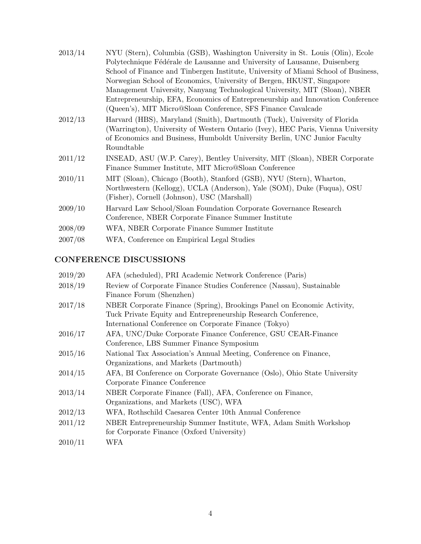| 2013/14 | NYU (Stern), Columbia (GSB), Washington University in St. Louis (Olin), Ecole      |
|---------|------------------------------------------------------------------------------------|
|         | Polytechnique Fédérale de Lausanne and University of Lausanne, Duisenberg          |
|         | School of Finance and Tinbergen Institute, University of Miami School of Business, |
|         | Norwegian School of Economics, University of Bergen, HKUST, Singapore              |
|         | Management University, Nanyang Technological University, MIT (Sloan), NBER         |
|         | Entrepreneurship, EFA, Economics of Entrepreneurship and Innovation Conference     |
|         | (Queen's), MIT Micro@Sloan Conference, SFS Finance Cavalcade                       |
| 2012/13 | Harvard (HBS), Maryland (Smith), Dartmouth (Tuck), University of Florida           |
|         | (Warrington), University of Western Ontario (Ivey), HEC Paris, Vienna University   |
|         | of Economics and Business, Humboldt University Berlin, UNC Junior Faculty          |
|         | Roundtable                                                                         |
| 2011/12 | INSEAD, ASU (W.P. Carey), Bentley University, MIT (Sloan), NBER Corporate          |
|         | Finance Summer Institute, MIT Micro@Sloan Conference                               |
| 2010/11 | MIT (Sloan), Chicago (Booth), Stanford (GSB), NYU (Stern), Wharton,                |
|         | Northwestern (Kellogg), UCLA (Anderson), Yale (SOM), Duke (Fuqua), OSU             |
|         | (Fisher), Cornell (Johnson), USC (Marshall)                                        |
| 2009/10 | Harvard Law School/Sloan Foundation Corporate Governance Research                  |
|         | Conference, NBER Corporate Finance Summer Institute                                |
| 2008/09 | WFA, NBER Corporate Finance Summer Institute                                       |
| 2007/08 | WFA, Conference on Empirical Legal Studies                                         |

## CONFERENCE DISCUSSIONS

| 2019/20 | AFA (scheduled), PRI Academic Network Conference (Paris)                                                                                                                                         |
|---------|--------------------------------------------------------------------------------------------------------------------------------------------------------------------------------------------------|
| 2018/19 | Review of Corporate Finance Studies Conference (Nassau), Sustainable<br>Finance Forum (Shenzhen)                                                                                                 |
| 2017/18 | NBER Corporate Finance (Spring), Brookings Panel on Economic Activity,<br>Tuck Private Equity and Entrepreneurship Research Conference,<br>International Conference on Corporate Finance (Tokyo) |
| 2016/17 | AFA, UNC/Duke Corporate Finance Conference, GSU CEAR-Finance<br>Conference, LBS Summer Finance Symposium                                                                                         |
| 2015/16 | National Tax Association's Annual Meeting, Conference on Finance,<br>Organizations, and Markets (Dartmouth)                                                                                      |
| 2014/15 | AFA, BI Conference on Corporate Governance (Oslo), Ohio State University<br>Corporate Finance Conference                                                                                         |
| 2013/14 | NBER Corporate Finance (Fall), AFA, Conference on Finance,<br>Organizations, and Markets (USC), WFA                                                                                              |
| 2012/13 | WFA, Rothschild Caesarea Center 10th Annual Conference                                                                                                                                           |
| 2011/12 | NBER Entrepreneurship Summer Institute, WFA, Adam Smith Workshop<br>for Corporate Finance (Oxford University)                                                                                    |
| 2010/11 | WFA                                                                                                                                                                                              |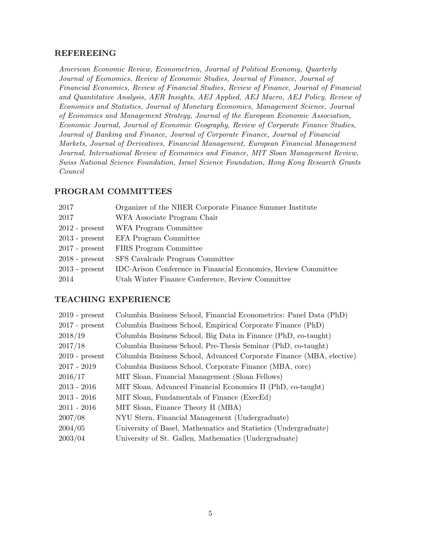#### REFEREEING

American Economic Review, Econometrica, Journal of Political Economy, Quarterly Journal of Economics, Review of Economic Studies, Journal of Finance, Journal of Financial Economics, Review of Financial Studies, Review of Finance, Journal of Financial and Quantitative Analysis, AER Insights, AEJ Applied, AEJ Macro, AEJ Policy, Review of Economics and Statistics, Journal of Monetary Economics, Management Science, Journal of Economics and Management Strategy, Journal of the European Economic Association, Economic Journal, Journal of Economic Geography, Review of Corporate Finance Studies, Journal of Banking and Finance, Journal of Corporate Finance, Journal of Financial Markets, Journal of Derivatives, Financial Management, European Financial Management Journal, International Review of Economics and Finance, MIT Sloan Management Review, Swiss National Science Foundation, Israel Science Foundation, Hong Kong Research Grants Council

#### PROGRAM COMMITTEES

| 2017             | Organizer of the NBER Corporate Finance Summer Institute       |
|------------------|----------------------------------------------------------------|
| 2017             | WFA Associate Program Chair                                    |
| $2012$ - present | WFA Program Committee                                          |
| $2013$ - present | EFA Program Committee                                          |
| $2017$ - present | FIRS Program Committee                                         |
| $2018$ - present | SFS Cavalcade Program Committee                                |
| $2013$ - present | IDC-Arison Conference in Financial Economics, Review Committee |
| 2014             | Utah Winter Finance Conference, Review Committee               |
|                  |                                                                |

#### TEACHING EXPERIENCE

| Columbia Business School, Financial Econometrics: Panel Data (PhD)   |
|----------------------------------------------------------------------|
| Columbia Business School, Empirical Corporate Finance (PhD)          |
| Columbia Business School, Big Data in Finance (PhD, co-taught)       |
| Columbia Business School, Pre-Thesis Seminar (PhD, co-taught)        |
| Columbia Business School, Advanced Corporate Finance (MBA, elective) |
| Columbia Business School, Corporate Finance (MBA, core)              |
| MIT Sloan, Financial Management (Sloan Fellows)                      |
| MIT Sloan, Advanced Financial Economics II (PhD, co-taught)          |
| MIT Sloan, Fundamentals of Finance (ExecEd)                          |
| MIT Sloan, Finance Theory II (MBA)                                   |
| NYU Stern, Financial Management (Undergraduate)                      |
| University of Basel, Mathematics and Statistics (Undergraduate)      |
| University of St. Gallen, Mathematics (Undergraduate)                |
|                                                                      |